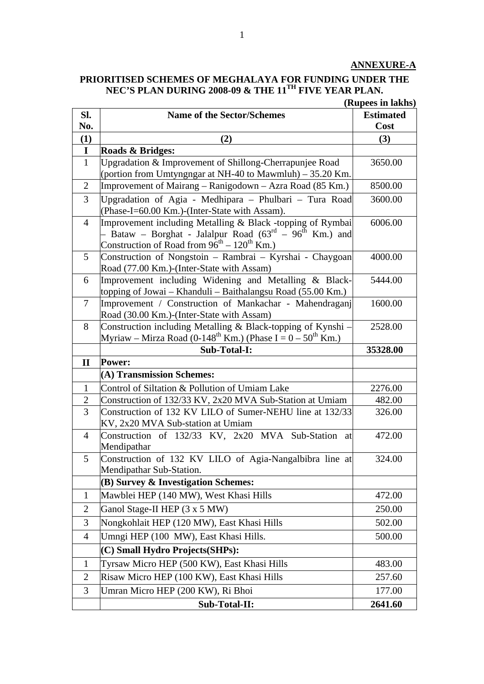#### **PRIORITISED SCHEMES OF MEGHALAYA FOR FUNDING UNDER THE NEC'S PLAN DURING 2008-09 & THE 11TH FIVE YEAR PLAN.**

**(Rupees in lakhs)**

| Sl.<br>No.     | <b>Name of the Sector/Schemes</b>                                                                                                                                                    | <b>Estimated</b><br>Cost |
|----------------|--------------------------------------------------------------------------------------------------------------------------------------------------------------------------------------|--------------------------|
| (1)            | (2)                                                                                                                                                                                  | (3)                      |
| $\mathbf I$    | Roads & Bridges:                                                                                                                                                                     |                          |
| $\mathbf{1}$   | Upgradation & Improvement of Shillong-Cherrapunjee Road<br>(portion from Umtyngngar at NH-40 to Mawmluh) - 35.20 Km.                                                                 | 3650.00                  |
| $\overline{2}$ | Improvement of Mairang - Ranigodown - Azra Road (85 Km.)                                                                                                                             | 8500.00                  |
| 3              | Upgradation of Agia - Medhipara - Phulbari - Tura Road<br>(Phase-I=60.00 Km.)-(Inter-State with Assam).                                                                              | 3600.00                  |
| $\overline{4}$ | Improvement including Metalling & Black -topping of Rymbai<br>- Bataw - Borghat - Jalalpur Road $(63^{rd} - 96^{th}$ Km.) and<br>Construction of Road from $96^{th} - 120^{th}$ Km.) | 6006.00                  |
| 5              | Construction of Nongstoin - Rambrai - Kyrshai - Chaygoan<br>Road (77.00 Km.)-(Inter-State with Assam)                                                                                | 4000.00                  |
| 6              | Improvement including Widening and Metalling & Black-<br>topping of Jowai - Khanduli - Baithalangsu Road (55.00 Km.)                                                                 | 5444.00                  |
| $\overline{7}$ | Improvement / Construction of Mankachar - Mahendraganj<br>Road (30.00 Km.)-(Inter-State with Assam)                                                                                  | 1600.00                  |
| 8              | Construction including Metalling & Black-topping of Kynshi<br>Myriaw – Mirza Road (0-148 <sup>th</sup> Km.) (Phase I = $0-50$ <sup>th</sup> Km.)                                     | 2528.00                  |
|                | Sub-Total-I:                                                                                                                                                                         | 35328.00                 |
| $\mathbf{I}$   | Power:                                                                                                                                                                               |                          |
|                | (A) Transmission Schemes:                                                                                                                                                            |                          |
| $\mathbf{1}$   | Control of Siltation & Pollution of Umiam Lake                                                                                                                                       | 2276.00                  |
| $\overline{2}$ | Construction of 132/33 KV, 2x20 MVA Sub-Station at Umiam                                                                                                                             | 482.00                   |
| 3              | Construction of 132 KV LILO of Sumer-NEHU line at 132/33<br>KV, 2x20 MVA Sub-station at Umiam                                                                                        | 326.00                   |
| 4              | Construction of 132/33 KV, 2x20 MVA Sub-Station at<br>Mendipathar                                                                                                                    | 472.00                   |
| 5              | Construction of 132 KV LILO of Agia-Nangalbibra line at<br>Mendipathar Sub-Station                                                                                                   | 324.00                   |
|                | (B) Survey & Investigation Schemes:                                                                                                                                                  |                          |
| $\mathbf{1}$   | Mawblei HEP (140 MW), West Khasi Hills                                                                                                                                               | 472.00                   |
| $\overline{2}$ | Ganol Stage-II HEP (3 x 5 MW)                                                                                                                                                        | 250.00                   |
| 3              | Nongkohlait HEP (120 MW), East Khasi Hills                                                                                                                                           | 502.00                   |
| $\overline{4}$ | Umngi HEP (100 MW), East Khasi Hills.                                                                                                                                                | 500.00                   |
|                | (C) Small Hydro Projects(SHPs):                                                                                                                                                      |                          |
| $\mathbf{1}$   | Tyrsaw Micro HEP (500 KW), East Khasi Hills                                                                                                                                          | 483.00                   |
| $\overline{2}$ | Risaw Micro HEP (100 KW), East Khasi Hills                                                                                                                                           | 257.60                   |
| 3              | Umran Micro HEP (200 KW), Ri Bhoi                                                                                                                                                    | 177.00                   |
|                | Sub-Total-II:                                                                                                                                                                        | 2641.60                  |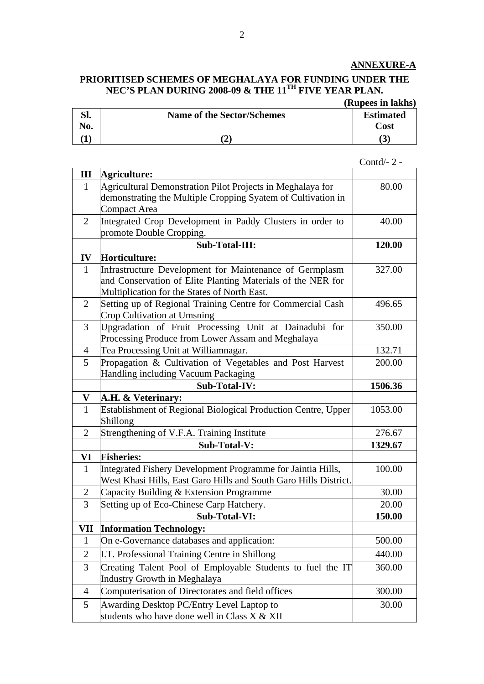#### **PRIORITISED SCHEMES OF MEGHALAYA FOR FUNDING UNDER THE NEC'S PLAN DURING 2008-09 & THE 11TH FIVE YEAR PLAN.**

## **(Rupees in lakhs)**

| vı.<br>No. | <b>Name of the Sector/Schemes</b> | <b>Estimated</b><br>Cost |
|------------|-----------------------------------|--------------------------|
|            |                                   | J                        |

Contd/- 2 -

| III            | <b>Agriculture:</b>                                                                                                                                                    |         |
|----------------|------------------------------------------------------------------------------------------------------------------------------------------------------------------------|---------|
| 1              | Agricultural Demonstration Pilot Projects in Meghalaya for<br>demonstrating the Multiple Cropping Syatem of Cultivation in<br><b>Compact Area</b>                      | 80.00   |
| 2              | Integrated Crop Development in Paddy Clusters in order to<br>promote Double Cropping.                                                                                  | 40.00   |
|                | Sub-Total-III:                                                                                                                                                         | 120.00  |
| $\bf{IV}$      | Horticulture:                                                                                                                                                          |         |
| $\mathbf{1}$   | Infrastructure Development for Maintenance of Germplasm<br>and Conservation of Elite Planting Materials of the NER for<br>Multiplication for the States of North East. | 327.00  |
| 2              | Setting up of Regional Training Centre for Commercial Cash<br>Crop Cultivation at Umsning                                                                              | 496.65  |
| 3              | Upgradation of Fruit Processing Unit at Dainadubi for<br>Processing Produce from Lower Assam and Meghalaya                                                             | 350.00  |
| 4              | Tea Processing Unit at Williamnagar.                                                                                                                                   | 132.71  |
| 5              | Propagation & Cultivation of Vegetables and Post Harvest<br><b>Handling including Vacuum Packaging</b>                                                                 | 200.00  |
|                | Sub-Total-IV:                                                                                                                                                          | 1506.36 |
| V              | A.H. & Veterinary:                                                                                                                                                     |         |
| $\mathbf{1}$   | Establishment of Regional Biological Production Centre, Upper<br>Shillong                                                                                              | 1053.00 |
| $\overline{2}$ | Strengthening of V.F.A. Training Institute                                                                                                                             | 276.67  |
|                | <b>Sub-Total-V:</b>                                                                                                                                                    | 1329.67 |
| VI             | <b>Fisheries:</b>                                                                                                                                                      |         |
| $\mathbf{1}$   | Integrated Fishery Development Programme for Jaintia Hills,<br>West Khasi Hills, East Garo Hills and South Garo Hills District.                                        | 100.00  |
| $\overline{2}$ | Capacity Building & Extension Programme                                                                                                                                | 30.00   |
| 3              | Setting up of Eco-Chinese Carp Hatchery.                                                                                                                               | 20.00   |
|                | Sub-Total-VI:                                                                                                                                                          | 150.00  |
|                | <b>VII</b> Information Technology:                                                                                                                                     |         |
| 1              | On e-Governance databases and application:                                                                                                                             | 500.00  |
| $\overline{2}$ | I.T. Professional Training Centre in Shillong                                                                                                                          | 440.00  |
| 3              | Creating Talent Pool of Employable Students to fuel the IT<br>Industry Growth in Meghalaya                                                                             | 360.00  |
| $\overline{4}$ | Computerisation of Directorates and field offices                                                                                                                      | 300.00  |
| 5              | Awarding Desktop PC/Entry Level Laptop to<br>students who have done well in Class X & XII                                                                              | 30.00   |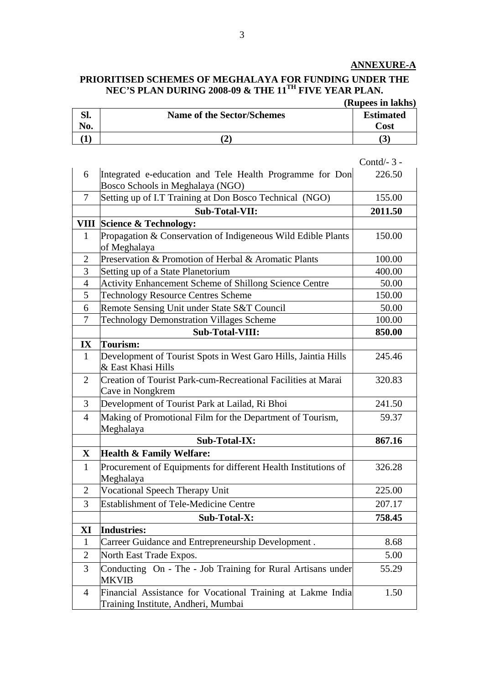#### **PRIORITISED SCHEMES OF MEGHALAYA FOR FUNDING UNDER THE NEC'S PLAN DURING 2008-09 & THE 11TH FIVE YEAR PLAN.**

# **(Rupees in lakhs)**

| DI. | <b>Name of the Sector/Schemes</b> | <b>Estimated</b> |
|-----|-----------------------------------|------------------|
| N0. |                                   | Cost             |
|     |                                   |                  |

|                          |                                                                                                    | Contd $/$ - 3 - |
|--------------------------|----------------------------------------------------------------------------------------------------|-----------------|
| 6                        | Integrated e-education and Tele Health Programme for Don                                           | 226.50          |
|                          | Bosco Schools in Meghalaya (NGO)                                                                   |                 |
| 7                        | Setting up of I.T Training at Don Bosco Technical (NGO)                                            | 155.00          |
|                          | Sub-Total-VII:                                                                                     | 2011.50         |
|                          | <b>VIII Science &amp; Technology:</b>                                                              |                 |
| 1                        | Propagation & Conservation of Indigeneous Wild Edible Plants<br>of Meghalaya                       | 150.00          |
| $\overline{2}$           | Preservation & Promotion of Herbal & Aromatic Plants                                               | 100.00          |
| 3                        | Setting up of a State Planetorium                                                                  | 400.00          |
| $\overline{4}$           | Activity Enhancement Scheme of Shillong Science Centre                                             | 50.00           |
| 5                        | <b>Technology Resource Centres Scheme</b>                                                          | 150.00          |
| 6                        | Remote Sensing Unit under State S&T Council                                                        | 50.00           |
| $\overline{\mathcal{L}}$ | <b>Technology Demonstration Villages Scheme</b>                                                    | 100.00          |
|                          | <b>Sub-Total-VIII:</b>                                                                             | 850.00          |
| IX                       | Tourism:                                                                                           |                 |
| $\mathbf{1}$             | Development of Tourist Spots in West Garo Hills, Jaintia Hills<br>& East Khasi Hills               | 245.46          |
| 2                        | Creation of Tourist Park-cum-Recreational Facilities at Marai<br>Cave in Nongkrem                  | 320.83          |
| 3                        | Development of Tourist Park at Lailad, Ri Bhoi                                                     | 241.50          |
| $\overline{4}$           | Making of Promotional Film for the Department of Tourism,<br>Meghalaya                             | 59.37           |
|                          | <b>Sub-Total-IX:</b>                                                                               | 867.16          |
| $\mathbf X$              | <b>Health &amp; Family Welfare:</b>                                                                |                 |
| $\mathbf{1}$             | Procurement of Equipments for different Health Institutions of<br>Meghalaya                        | 326.28          |
| $\overline{2}$           | Vocational Speech Therapy Unit                                                                     | 225.00          |
| 3                        | <b>Establishment of Tele-Medicine Centre</b>                                                       | 207.17          |
|                          | Sub-Total-X:                                                                                       | 758.45          |
| XI                       | <b>Industries:</b>                                                                                 |                 |
| $\mathbf{1}$             | Carreer Guidance and Entrepreneurship Development.                                                 | 8.68            |
| $\overline{2}$           | North East Trade Expos.                                                                            | 5.00            |
| 3                        | Conducting On - The - Job Training for Rural Artisans under<br><b>MKVIB</b>                        | 55.29           |
| $\overline{4}$           | Financial Assistance for Vocational Training at Lakme India<br>Training Institute, Andheri, Mumbai | 1.50            |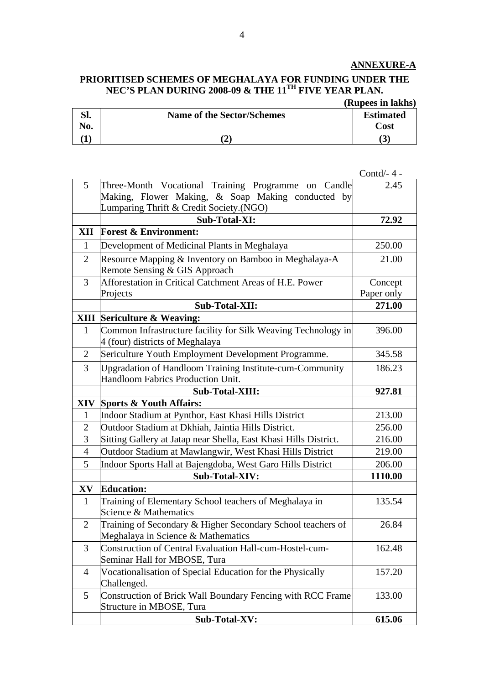#### **PRIORITISED SCHEMES OF MEGHALAYA FOR FUNDING UNDER THE NEC'S PLAN DURING 2008-09 & THE 11TH FIVE YEAR PLAN.**

## **(Rupees in lakhs)**

| C11<br>ט. | <b>Name of the Sector/Schemes</b> | <b>Estimated</b> |
|-----------|-----------------------------------|------------------|
| No.       |                                   | Cost             |
|           |                                   |                  |

|                |                                                                                                          | Contd $/$ -4 - |
|----------------|----------------------------------------------------------------------------------------------------------|----------------|
| 5              | Three-Month Vocational Training Programme on Candle<br>Making, Flower Making, & Soap Making conducted by | 2.45           |
|                | Lumparing Thrift & Credit Society.(NGO)<br>Sub-Total-XI:                                                 | 72.92          |
| XII            | <b>Forest &amp; Environment:</b>                                                                         |                |
| $\mathbf{1}$   |                                                                                                          | 250.00         |
|                | Development of Medicinal Plants in Meghalaya                                                             |                |
| $\overline{2}$ | Resource Mapping & Inventory on Bamboo in Meghalaya-A<br>Remote Sensing & GIS Approach                   | 21.00          |
| 3              | Afforestation in Critical Catchment Areas of H.E. Power                                                  | Concept        |
|                | Projects                                                                                                 | Paper only     |
|                | Sub-Total-XII:                                                                                           | 271.00         |
| XIII           | Sericulture & Weaving:                                                                                   |                |
| $\mathbf{1}$   | Common Infrastructure facility for Silk Weaving Technology in<br>4 (four) districts of Meghalaya         | 396.00         |
| 2              | Sericulture Youth Employment Development Programme.                                                      | 345.58         |
| 3              | <b>Upgradation of Handloom Training Institute-cum-Community</b><br>Handloom Fabrics Production Unit.     | 186.23         |
|                | Sub-Total-XIII:                                                                                          | 927.81         |
| <b>XIV</b>     | <b>Sports &amp; Youth Affairs:</b>                                                                       |                |
| 1              | Indoor Stadium at Pynthor, East Khasi Hills District                                                     | 213.00         |
| $\overline{2}$ | Outdoor Stadium at Dkhiah, Jaintia Hills District.                                                       |                |
|                |                                                                                                          | 256.00         |
| 3              | Sitting Gallery at Jatap near Shella, East Khasi Hills District.                                         | 216.00         |
| $\overline{4}$ | Outdoor Stadium at Mawlangwir, West Khasi Hills District                                                 | 219.00         |
| 5              | Indoor Sports Hall at Bajengdoba, West Garo Hills District                                               | 206.00         |
|                | Sub-Total-XIV:                                                                                           | 1110.00        |
| XV             | <b>Education:</b>                                                                                        |                |
| $\mathbf{1}$   | Training of Elementary School teachers of Meghalaya in<br>Science & Mathematics                          | 135.54         |
| $\overline{2}$ | Training of Secondary & Higher Secondary School teachers of<br>Meghalaya in Science & Mathematics        | 26.84          |
| 3              | <b>Construction of Central Evaluation Hall-cum-Hostel-cum-</b><br>Seminar Hall for MBOSE, Tura           | 162.48         |
| $\overline{4}$ | Vocationalisation of Special Education for the Physically<br>Challenged.                                 | 157.20         |
| 5              | Construction of Brick Wall Boundary Fencing with RCC Frame<br>Structure in MBOSE, Tura                   | 133.00         |